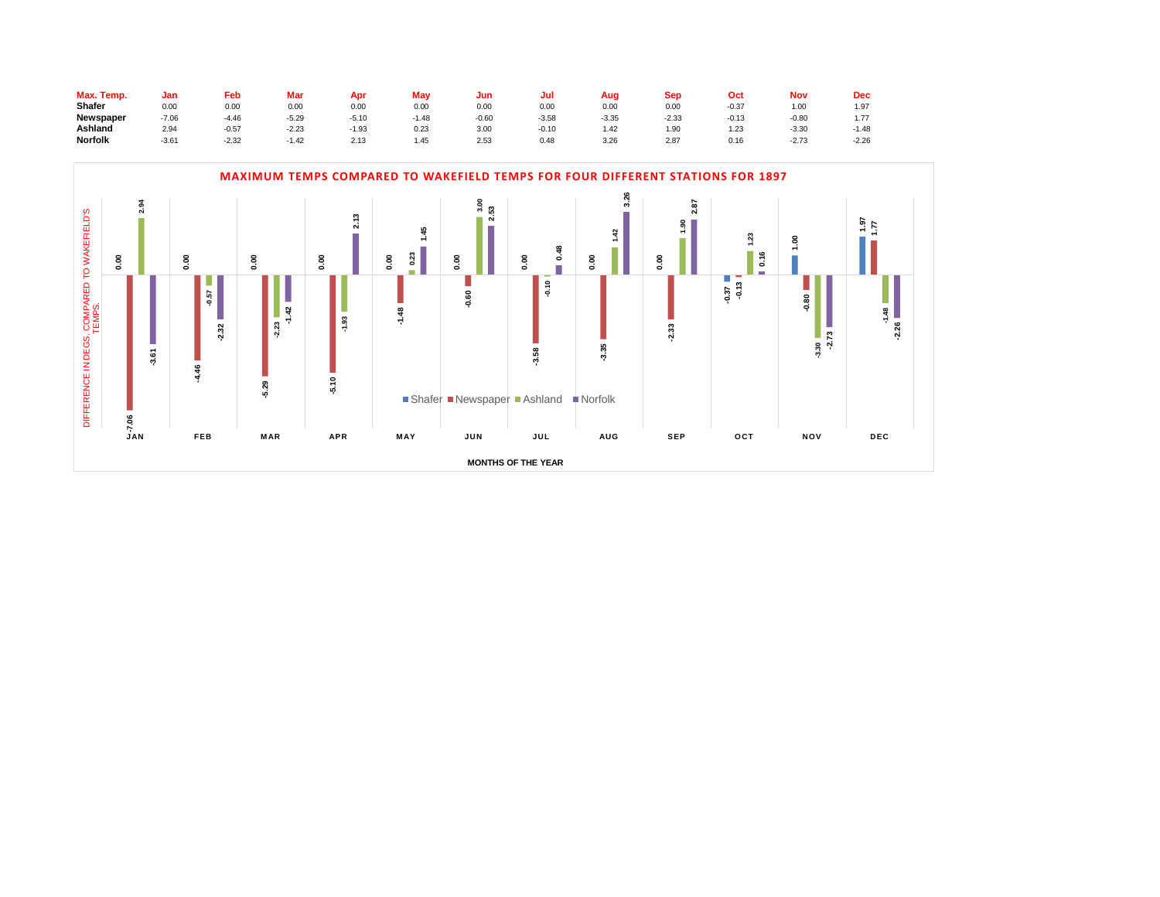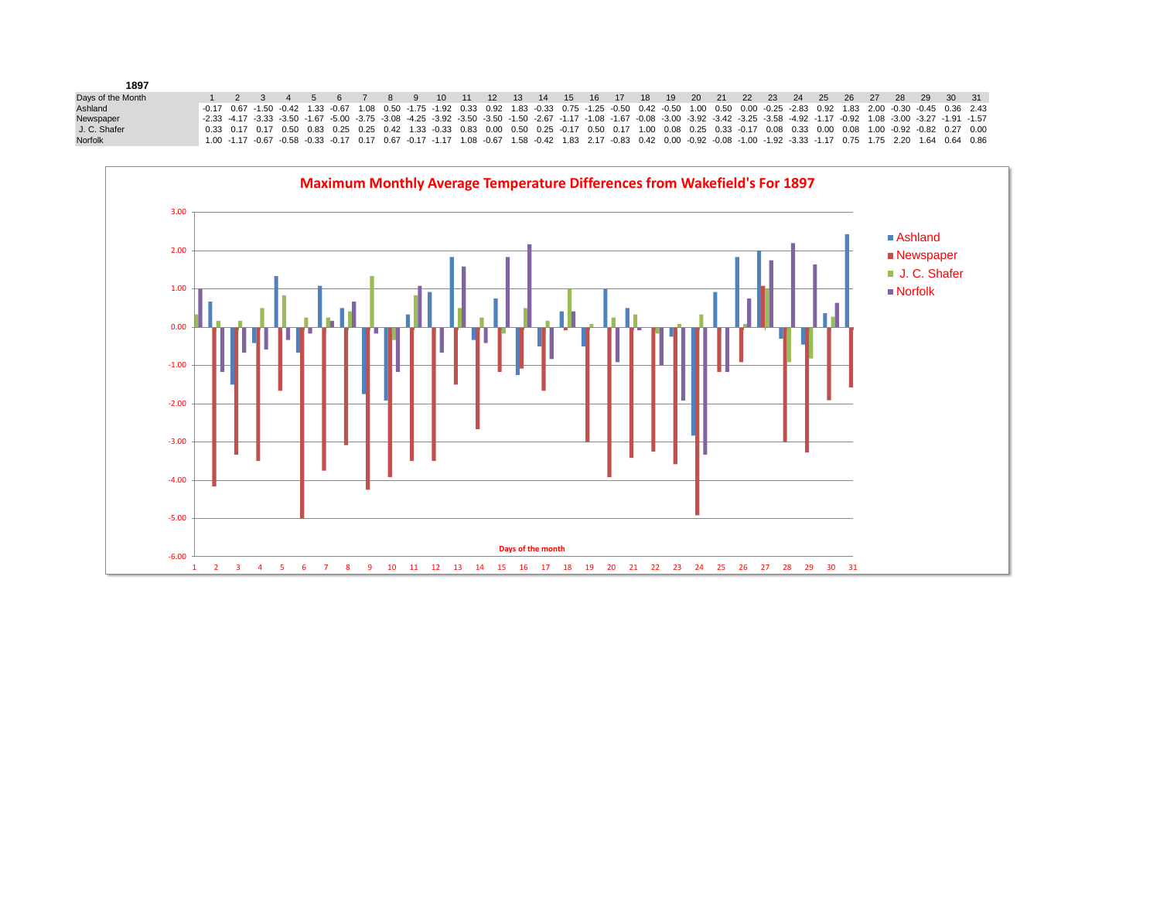| 1897              |                                                                                                                                                                                                                                |  |  |  |  |  |  |  |  |                                                                                                                                                                            |  |  |  |  |  |  |
|-------------------|--------------------------------------------------------------------------------------------------------------------------------------------------------------------------------------------------------------------------------|--|--|--|--|--|--|--|--|----------------------------------------------------------------------------------------------------------------------------------------------------------------------------|--|--|--|--|--|--|
| Days of the Month |                                                                                                                                                                                                                                |  |  |  |  |  |  |  |  | 1  2  3  4  5  6  7  8  9  10  11  12  13  14  15  16  17  18  19  20  21  22  23  24  25  26  27  28  29  30                                                              |  |  |  |  |  |  |
| Ashland           | $-0.17$ $0.67$ $-1.50$ $-0.42$ $1.33$ $-0.67$ $1.08$ $0.50$ $-1.75$ $-1.92$ $0.33$ $0.92$ $1.83$ $-0.33$ $0.75$ $-1.25$ $-0.50$ $0.42$ $-0.50$ $0.40$ $0.50$ $0.00$ $-0.25$ $-2.83$ $0.92$ $1.83$ $2.00$ $-0.30$ $-0.45$ $0.3$ |  |  |  |  |  |  |  |  |                                                                                                                                                                            |  |  |  |  |  |  |
| Newspaper         | -2.33 -4.17 -3.33 -3.50 -1.67 -5.00 -3.75 -3.08 -4.25 -3.92 -3.50 -3.50 -1.50 -2.67 -1.17 -1.08 -1.67 -0.08 -3.00 -3.92 -3.42 -3.25 -3.58 -4.92 -1.17 -0.92 1.08 -3.00 -3.27 -1.91 -1.57                                       |  |  |  |  |  |  |  |  |                                                                                                                                                                            |  |  |  |  |  |  |
| J. C. Shafer      |                                                                                                                                                                                                                                |  |  |  |  |  |  |  |  | 0.33 0.17 0.17 0.50 0.83 0.25 0.25 0.42 1.33 -0.33 0.83 0.00 0.50 0.25 -0.17 0.50 0.17 1.00 0.08 0.25 0.33 -0.17 0.08 0.33 0.00 0.08 1.00 -0.92 -0.82 0.27 0.00            |  |  |  |  |  |  |
| <b>Norfolk</b>    |                                                                                                                                                                                                                                |  |  |  |  |  |  |  |  | 1.00 -1.17 -0.67 -0.58 -0.33 -0.17 0.17 0.67 -0.17 -1.17 1.08 -0.67 1.58 -0.42 1.83 2.17 -0.83 0.42 0.00 -0.92 -0.08 -1.00 -1.92 -3.33 -1.17 0.75 1.75 2.20 1.64 0.64 0.86 |  |  |  |  |  |  |

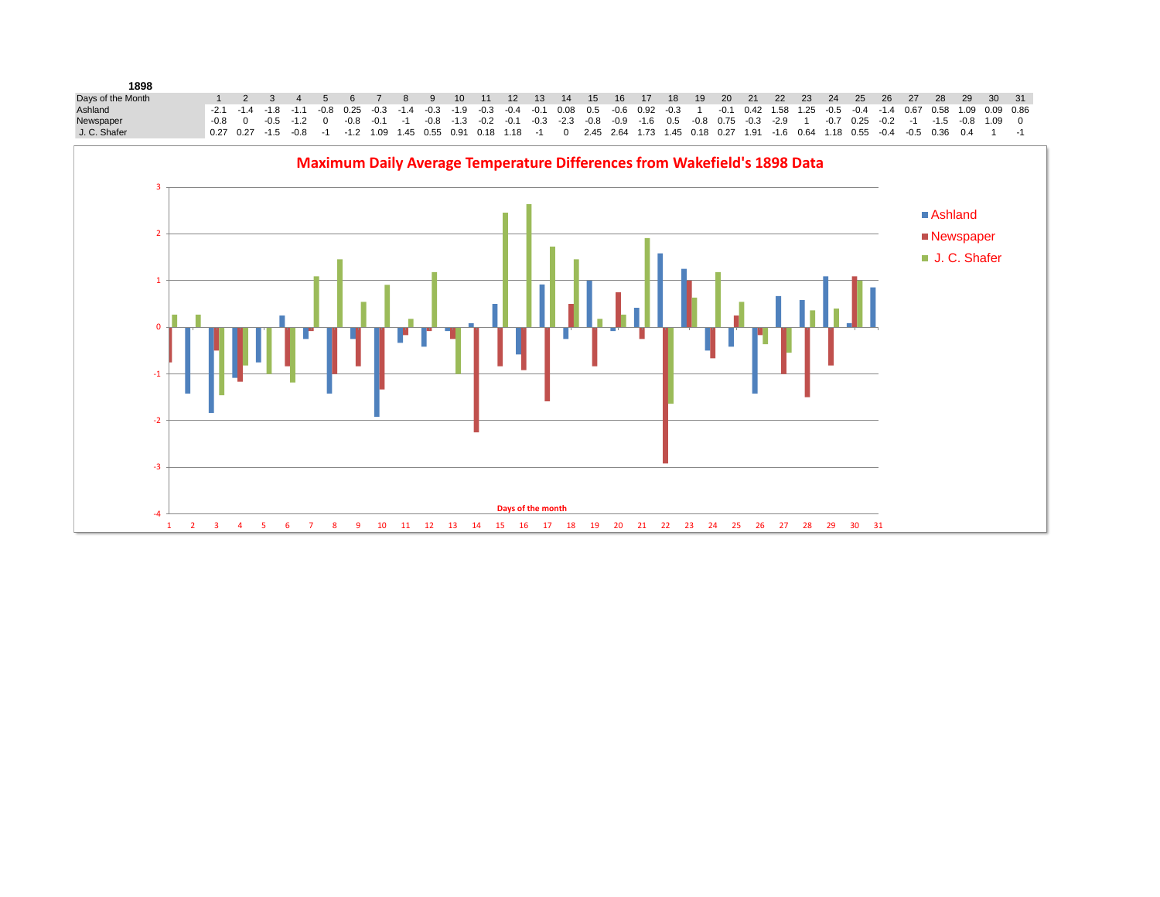| 1898              |  |  |  |  |  |  |  |  |  |  |  |  |  |  |                                                                                                                                                                                                 |                                                                                                                   |
|-------------------|--|--|--|--|--|--|--|--|--|--|--|--|--|--|-------------------------------------------------------------------------------------------------------------------------------------------------------------------------------------------------|-------------------------------------------------------------------------------------------------------------------|
| Days of the Month |  |  |  |  |  |  |  |  |  |  |  |  |  |  |                                                                                                                                                                                                 | 1  2  3  4  5  6  7  8  9  10  11  12  13  14  15  16  17  18  19  20  21  22  23  24  25  26  27  28  29  30  31 |
| Ashland           |  |  |  |  |  |  |  |  |  |  |  |  |  |  | $-2.1$ $-1.4$ $-1.8$ $-1.1$ $-0.8$ 0.25 $-0.3$ $-1.4$ $-0.3$ $-1.9$ $-0.3$ $-0.4$ $-0.1$ $0.08$ 0.5 $-0.6$ 0.92 $-0.3$ $-1$ $-0.1$ 0.42 1.58 1.25 $-0.5$ $-0.4$ $-1.4$ 0.67 0.58 1.09 0.09 0.86 |                                                                                                                   |
| Newspaper         |  |  |  |  |  |  |  |  |  |  |  |  |  |  | $-0.8$ 0 $-0.5$ -1.2 0 $-0.8$ -0.1 -1 -0.8 -1.3 -0.2 -0.1 -0.3 -2.3 -0.8 -0.9 -1.6 0.5 -0.8 0.75 -0.3 -2.9 1 -0.7 0.25 -0.2 -1 -1.5 -0.8 1.09 0                                                 |                                                                                                                   |
| J. C. Shafer      |  |  |  |  |  |  |  |  |  |  |  |  |  |  | 0.27 0.27 -1.5 -0.8 -1 -1.2 1.09 1.45 0.55 0.91 0.18 1.18 -1 0 2.45 2.64 1.73 1.45 0.18 0.27 1.91 -1.6 0.64 1.18 0.55 -0.4 -0.5 0.36 0.4 1 -1 -1                                                |                                                                                                                   |

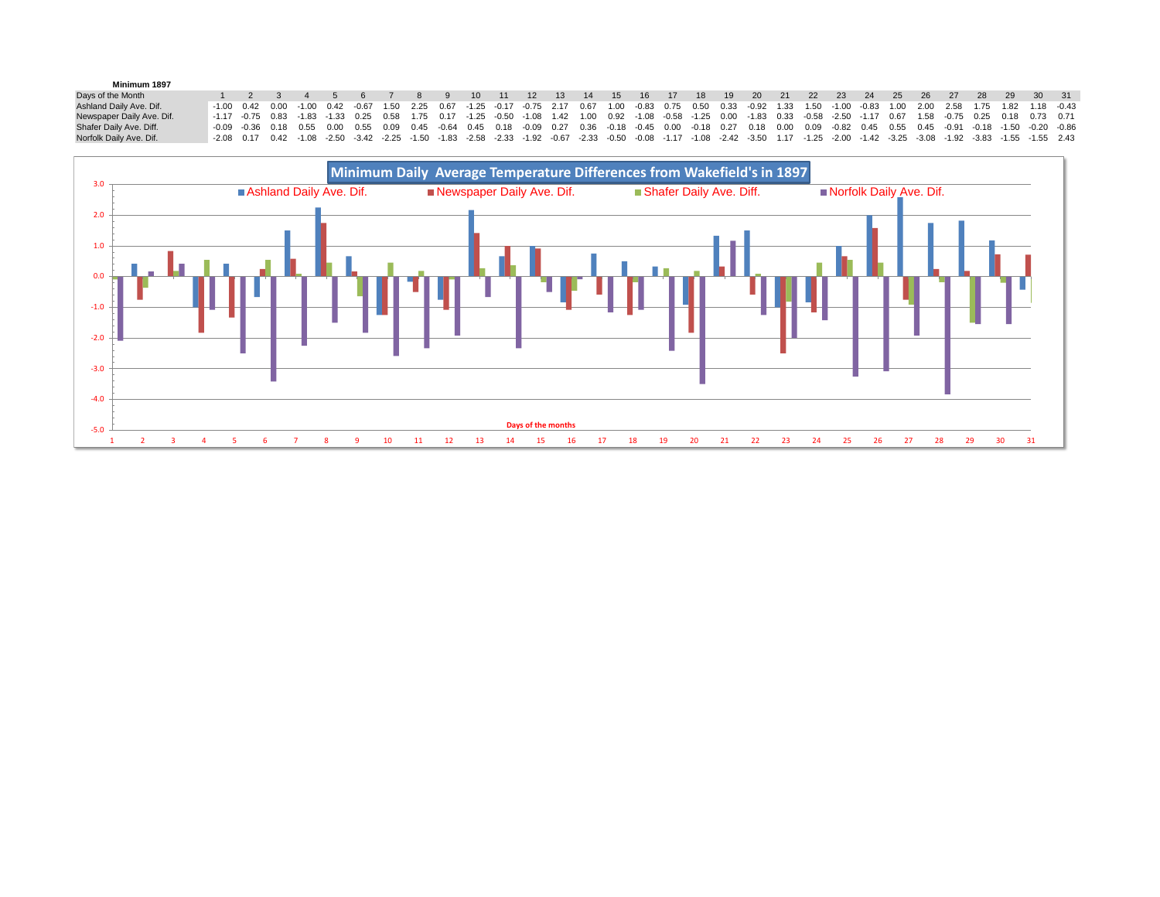| Minimum 1897              |                                                                                                                                                                                       |  |                                      |                                                                       |                                                                        |          |  |                  |     |     |      |      |       |      |                                                                                                                                                                                                                                |  |    |    |      |    |      |    |                                |
|---------------------------|---------------------------------------------------------------------------------------------------------------------------------------------------------------------------------------|--|--------------------------------------|-----------------------------------------------------------------------|------------------------------------------------------------------------|----------|--|------------------|-----|-----|------|------|-------|------|--------------------------------------------------------------------------------------------------------------------------------------------------------------------------------------------------------------------------------|--|----|----|------|----|------|----|--------------------------------|
| Days of the Month         |                                                                                                                                                                                       |  |                                      |                                                                       | $\begin{array}{ccc} \cdot & \cdot & \cdot & \cdot & \cdot \end{array}$ | 10 11 12 |  | 13 <sup>13</sup> | -14 | -15 | - 16 | - 17 | $-18$ | - 19 | 20 21 22 23                                                                                                                                                                                                                    |  | 24 | 25 | - 26 | 27 | - 28 | 29 | $30 \quad 31$                  |
| Ashland Daily Ave. Dif.   | $-1.00$ $0.42$ $0.00$                                                                                                                                                                 |  |                                      | $-1.00$ 0.42 $-0.67$ 1.50 2.25 0.67 $-1.25$ $-0.17$ $-0.75$ 2.17 0.67 |                                                                        |          |  |                  |     |     |      |      |       |      | 1.00 -0.83 0.75 0.50 0.33 -0.92 1.33 1.50 -1.00 -0.83 1.00                                                                                                                                                                     |  |    |    |      |    |      |    | 2.00 2.58 1.75 1.82 1.18 -0.43 |
| Newspaper Daily Ave. Dif. |                                                                                                                                                                                       |  |                                      |                                                                       |                                                                        |          |  |                  |     |     |      |      |       |      | $-1.17$ $-0.75$ $0.83$ $-1.83$ $-1.33$ $0.25$ $0.58$ $1.75$ $0.17$ $-1.25$ $-0.50$ $-1.08$ $1.42$ $1.00$ $0.92$ $-1.08$ $-0.58$ $-1.25$ $0.00$ $-1.83$ $0.33$ $-0.58$ $-2.50$ $-1.17$ $0.67$ $1.58$ $-0.75$ $0.25$ $0.18$ $0.$ |  |    |    |      |    |      |    |                                |
| Shafer Daily Ave. Diff.   |                                                                                                                                                                                       |  | $-0.09$ $-0.36$ $0.18$ $0.55$ $0.00$ |                                                                       |                                                                        |          |  |                  |     |     |      |      |       |      | 0.55 0.09 0.45 -0.64 0.45 0.18 -0.09 0.27 0.36 -0.18 -0.45 0.00 -0.18 0.27 0.18 0.00 0.09 -0.82 0.45 0.55 0.45 -0.91 -0.18 -1.50 -0.20 -0.86                                                                                   |  |    |    |      |    |      |    |                                |
| Norfolk Daily Ave. Dif.   | -2.08 0.17 0.42 -1.08 -2.50 -3.42 -2.25 -1.50 -1.83 -2.58 -2.33 -1.92 -0.67 -2.33 -0.50 -0.08 -1.17 -1.08 -2.42 -3.50 1.17 -1.25 -2.00 -1.42 -3.25 -3.08 -1.92 -3.83 -1.55 -1.55 2.43 |  |                                      |                                                                       |                                                                        |          |  |                  |     |     |      |      |       |      |                                                                                                                                                                                                                                |  |    |    |      |    |      |    |                                |

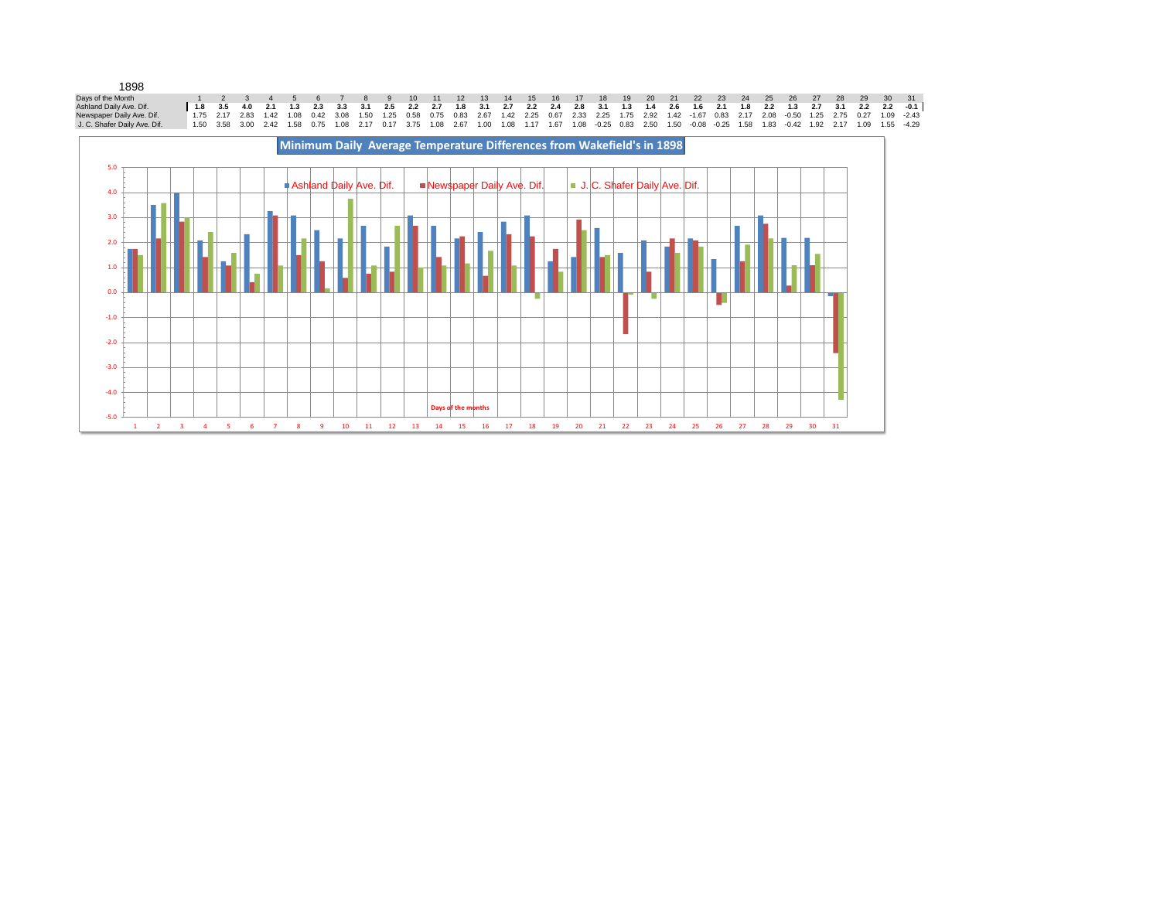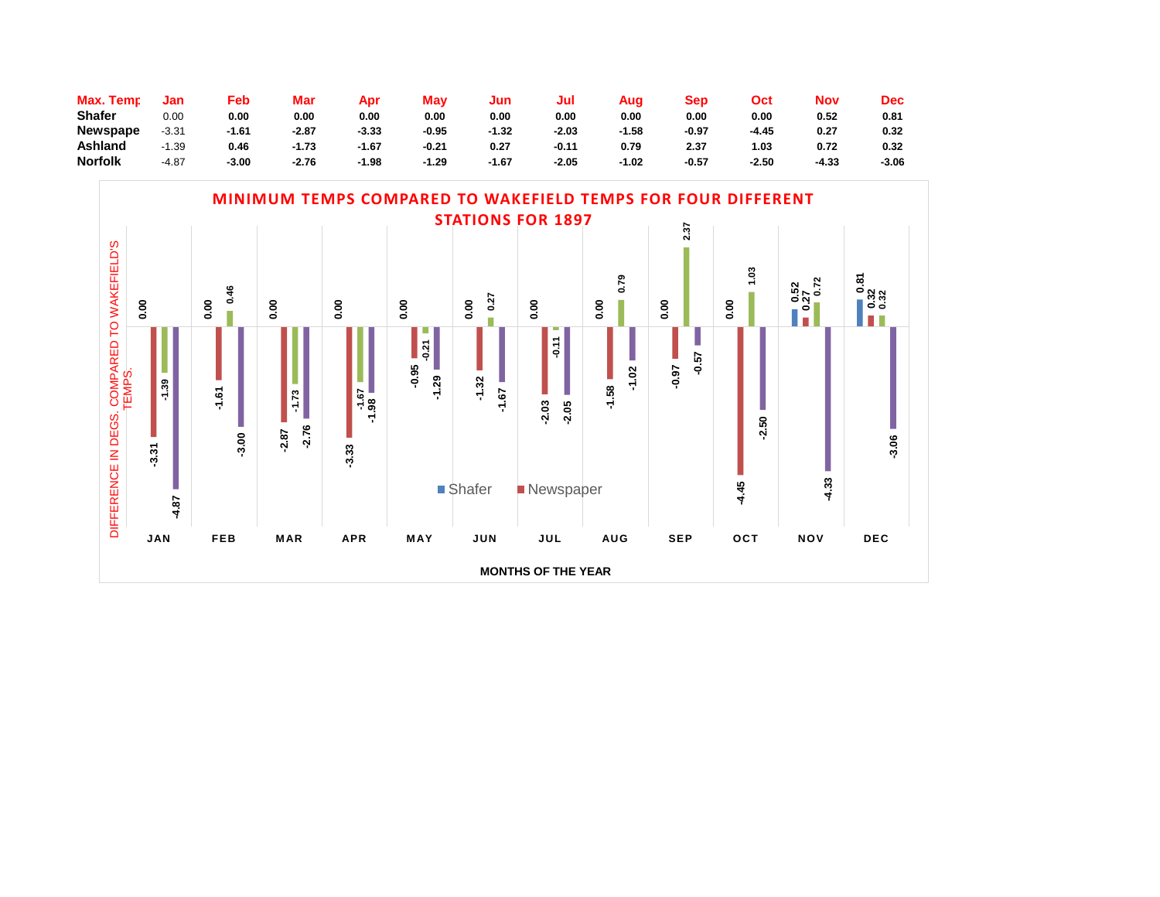| Max. Temp       | Jan     | Feb     | Mar     | Apr     | Mav     | Jun     | Jul     | Aug   | Sep     | Oct   | Nov   | Dec   |
|-----------------|---------|---------|---------|---------|---------|---------|---------|-------|---------|-------|-------|-------|
| <b>Shafer</b>   | 0.00    | 0.00    | 0.00    | 0.00    | 0.00    | 0.00    | 0.00    | 0.00  | 0.00    | 0.00  | 0.52  | 0.81  |
| <b>Newspape</b> | $-3.31$ | $-1.61$ | $-2.87$ | $-3.33$ | $-0.95$ | $-1.32$ | -2.03   | -1.58 | $-0.97$ | -4.45 | 0.27  | 0.32  |
| Ashland         | -1.39   | 0.46    | $-1.73$ | $-1.67$ | $-0.21$ | 0.27    | $-0.11$ | 0.79  | 2.37    | . 03  | 0.72  | 0.32  |
| <b>Norfolk</b>  | $-4.87$ | -3.00   | $-2.76$ | $-1.98$ | -1.29   | $-1.67$ | -2.05   | -1.02 | $-0.57$ | -2.50 | -4.33 | -3.06 |

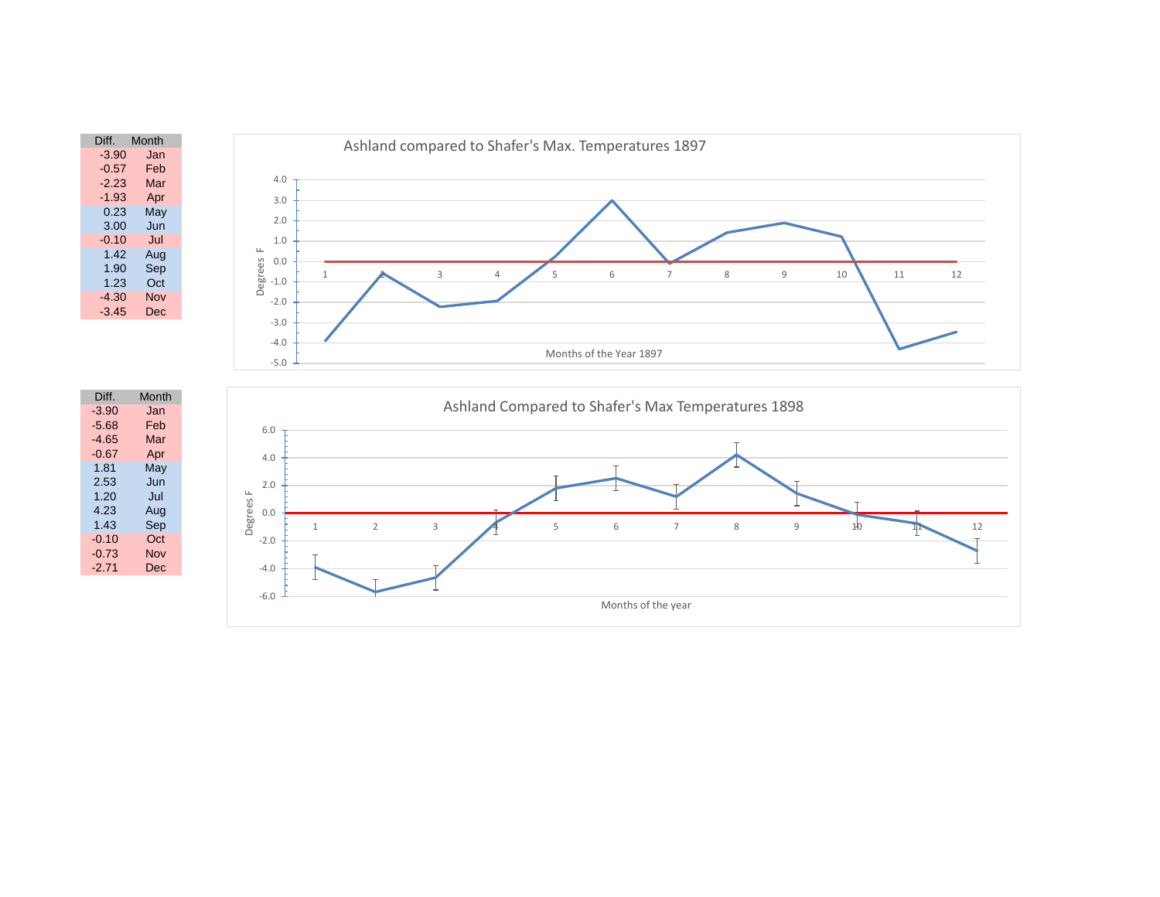